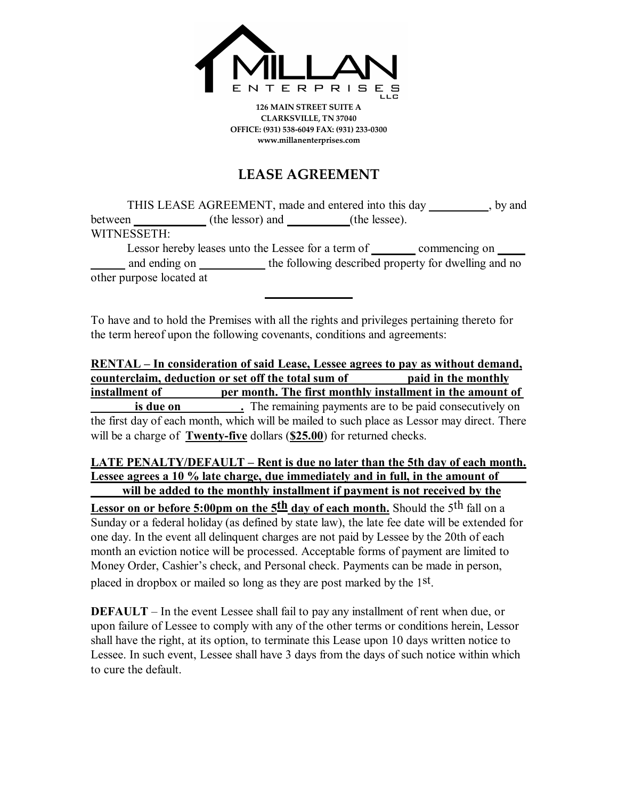

**126 MAIN STREET SUITE A CLARKSVILLE, TN 37040 OFFICE: (931) 538-6049 FAX: (931) 233-0300 www.millanenterprises.com**

## **LEASE AGREEMENT**

| THIS LEASE AGREEMENT, made and entered into this day |  |                  |               |                                                      | , by and |
|------------------------------------------------------|--|------------------|---------------|------------------------------------------------------|----------|
| between                                              |  | (the lessor) and | (the lessee). |                                                      |          |
| WITNESSETH:                                          |  |                  |               |                                                      |          |
| Lessor hereby leases unto the Lessee for a term of   |  |                  |               | commencing on                                        |          |
| and ending on _____                                  |  |                  |               | the following described property for dwelling and no |          |
| other purpose located at                             |  |                  |               |                                                      |          |

To have and to hold the Premises with all the rights and privileges pertaining thereto for the term hereof upon the following covenants, conditions and agreements:

**RENTAL – In consideration of said Lease, Lessee agrees to pay as without demand, counterclaim, deduction or set off the total sum of paid in the monthly installment of**  per month. The first monthly installment in the amount of **is due on** . The remaining payments are to be paid consecutively on the first day of each month, which will be mailed to such place as Lessor may direct. There will be a charge of **Twenty-five** dollars (**\$25.00**) for returned checks.

**LATE PENALTY/DEFAULT – Rent is due no later than the 5th day of each month. Lessee agrees a 10 % late charge, due immediately and in full, in the amount of will be added to the monthly installment if payment is not received by the**

Lessor on or before 5:00pm on the 5<sup>th</sup> day of each month. Should the 5<sup>th</sup> fall on a Sunday or a federal holiday (as defined by state law), the late fee date will be extended for one day. In the event all delinquent charges are not paid by Lessee by the 20th of each month an eviction notice will be processed. Acceptable forms of payment are limited to Money Order, Cashier's check, and Personal check. Payments can be made in person, placed in dropbox or mailed so long as they are post marked by the 1<sup>st</sup>.

**DEFAULT** – In the event Lessee shall fail to pay any installment of rent when due, or upon failure of Lessee to comply with any of the other terms or conditions herein, Lessor shall have the right, at its option, to terminate this Lease upon 10 days written notice to Lessee. In such event, Lessee shall have 3 days from the days of such notice within which to cure the default.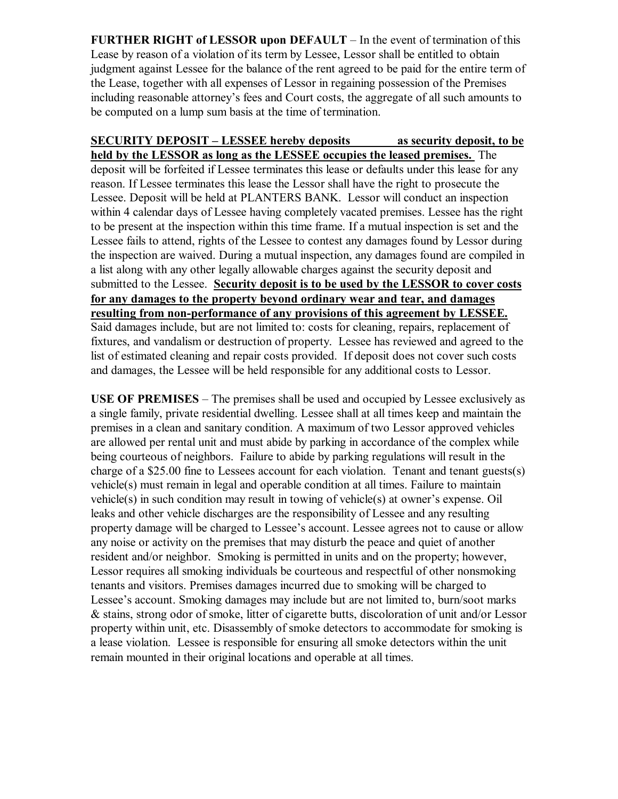**FURTHER RIGHT of LESSOR upon DEFAULT** – In the event of termination of this Lease by reason of a violation of its term by Lessee, Lessor shall be entitled to obtain judgment against Lessee for the balance of the rent agreed to be paid for the entire term of the Lease, together with all expenses of Lessor in regaining possession of the Premises including reasonable attorney's fees and Court costs, the aggregate of all such amounts to be computed on a lump sum basis at the time of termination.

## **SECURITY DEPOSIT – LESSEE hereby deposits as security deposit, to be held by the LESSOR as long as the LESSEE occupies the leased premises.** The

deposit will be forfeited if Lessee terminates this lease or defaults under this lease for any reason. If Lessee terminates this lease the Lessor shall have the right to prosecute the Lessee. Deposit will be held at PLANTERS BANK. Lessor will conduct an inspection within 4 calendar days of Lessee having completely vacated premises. Lessee has the right to be present at the inspection within this time frame. If a mutual inspection is set and the Lessee fails to attend, rights of the Lessee to contest any damages found by Lessor during the inspection are waived. During a mutual inspection, any damages found are compiled in a list along with any other legally allowable charges against the security deposit and submitted to the Lessee. **Security deposit is to be used by the LESSOR to cover costs for any damages to the property beyond ordinary wear and tear, and damages resulting from non-performance of any provisions of this agreement by LESSEE.** Said damages include, but are not limited to: costs for cleaning, repairs, replacement of fixtures, and vandalism or destruction of property. Lessee has reviewed and agreed to the list of estimated cleaning and repair costs provided. If deposit does not cover such costs and damages, the Lessee will be held responsible for any additional costs to Lessor.

**USE OF PREMISES** – The premises shall be used and occupied by Lessee exclusively as a single family, private residential dwelling. Lessee shall at all times keep and maintain the premises in a clean and sanitary condition. A maximum of two Lessor approved vehicles are allowed per rental unit and must abide by parking in accordance of the complex while being courteous of neighbors. Failure to abide by parking regulations will result in the charge of a \$25.00 fine to Lessees account for each violation. Tenant and tenant guests(s) vehicle(s) must remain in legal and operable condition at all times. Failure to maintain vehicle(s) in such condition may result in towing of vehicle(s) at owner's expense. Oil leaks and other vehicle discharges are the responsibility of Lessee and any resulting property damage will be charged to Lessee's account. Lessee agrees not to cause or allow any noise or activity on the premises that may disturb the peace and quiet of another resident and/or neighbor. Smoking is permitted in units and on the property; however, Lessor requires all smoking individuals be courteous and respectful of other nonsmoking tenants and visitors. Premises damages incurred due to smoking will be charged to Lessee's account. Smoking damages may include but are not limited to, burn/soot marks & stains, strong odor of smoke, litter of cigarette butts, discoloration of unit and/or Lessor property within unit, etc. Disassembly of smoke detectors to accommodate for smoking is a lease violation. Lessee is responsible for ensuring all smoke detectors within the unit remain mounted in their original locations and operable at all times.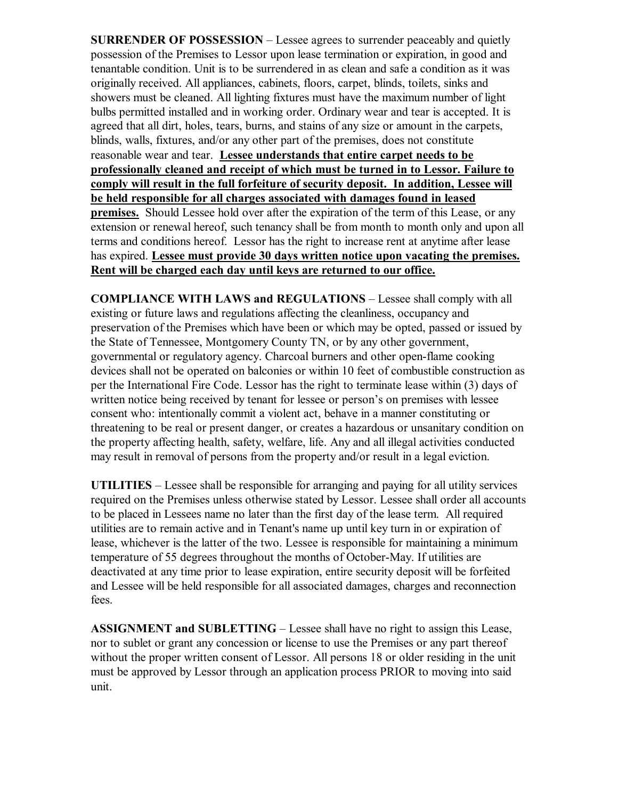**SURRENDER OF POSSESSION** – Lessee agrees to surrender peaceably and quietly possession of the Premises to Lessor upon lease termination or expiration, in good and tenantable condition. Unit is to be surrendered in as clean and safe a condition as it was originally received. All appliances, cabinets, floors, carpet, blinds, toilets, sinks and showers must be cleaned. All lighting fixtures must have the maximum number of light bulbs permitted installed and in working order. Ordinary wear and tear is accepted. It is agreed that all dirt, holes, tears, burns, and stains of any size or amount in the carpets, blinds, walls, fixtures, and/or any other part of the premises, does not constitute reasonable wear and tear. **Lessee understands that entire carpet needs to be professionally cleaned and receipt of which must be turned in to Lessor. Failure to comply will result in the full forfeiture of security deposit. In addition, Lessee will be held responsible for all charges associated with damages found in leased premises.** Should Lessee hold over after the expiration of the term of this Lease, or any extension or renewal hereof, such tenancy shall be from month to month only and upon all terms and conditions hereof. Lessor has the right to increase rent at anytime after lease has expired. **Lessee must provide 30 days written notice upon vacating the premises. Rent will be charged each day until keys are returned to our office.**

**COMPLIANCE WITH LAWS and REGULATIONS** – Lessee shall comply with all existing or future laws and regulations affecting the cleanliness, occupancy and preservation of the Premises which have been or which may be opted, passed or issued by the State of Tennessee, Montgomery County TN, or by any other government, governmental or regulatory agency. Charcoal burners and other open-flame cooking devices shall not be operated on balconies or within 10 feet of combustible construction as per the International Fire Code. Lessor has the right to terminate lease within (3) days of written notice being received by tenant for lessee or person's on premises with lessee consent who: intentionally commit a violent act, behave in a manner constituting or threatening to be real or present danger, or creates a hazardous or unsanitary condition on the property affecting health, safety, welfare, life. Any and all illegal activities conducted may result in removal of persons from the property and/or result in a legal eviction.

**UTILITIES** – Lessee shall be responsible for arranging and paying for all utility services required on the Premises unless otherwise stated by Lessor. Lessee shall order all accounts to be placed in Lessees name no later than the first day of the lease term. All required utilities are to remain active and in Tenant's name up until key turn in or expiration of lease, whichever is the latter of the two. Lessee is responsible for maintaining a minimum temperature of 55 degrees throughout the months of October-May. If utilities are deactivated at any time prior to lease expiration, entire security deposit will be forfeited and Lessee will be held responsible for all associated damages, charges and reconnection fees.

**ASSIGNMENT and SUBLETTING** – Lessee shall have no right to assign this Lease, nor to sublet or grant any concession or license to use the Premises or any part thereof without the proper written consent of Lessor. All persons 18 or older residing in the unit must be approved by Lessor through an application process PRIOR to moving into said unit.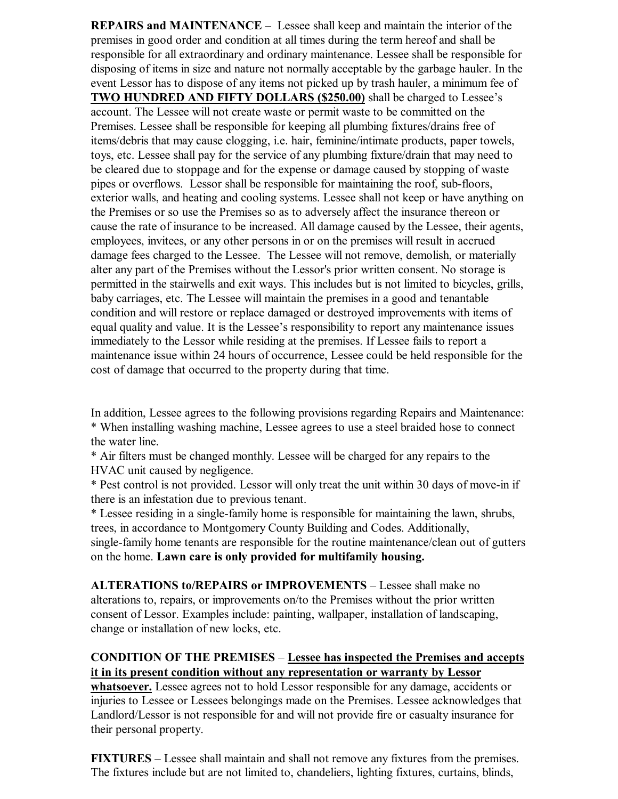**REPAIRS and MAINTENANCE** – Lessee shall keep and maintain the interior of the premises in good order and condition at all times during the term hereof and shall be responsible for all extraordinary and ordinary maintenance. Lessee shall be responsible for disposing of items in size and nature not normally acceptable by the garbage hauler. In the event Lessor has to dispose of any items not picked up by trash hauler, a minimum fee of **TWO HUNDRED AND FIFTY DOLLARS (\$250.00)** shall be charged to Lessee's account. The Lessee will not create waste or permit waste to be committed on the Premises. Lessee shall be responsible for keeping all plumbing fixtures/drains free of items/debris that may cause clogging, i.e. hair, feminine/intimate products, paper towels, toys, etc. Lessee shall pay for the service of any plumbing fixture/drain that may need to be cleared due to stoppage and for the expense or damage caused by stopping of waste pipes or overflows. Lessor shall be responsible for maintaining the roof, sub-floors, exterior walls, and heating and cooling systems. Lessee shall not keep or have anything on the Premises or so use the Premises so as to adversely affect the insurance thereon or cause the rate of insurance to be increased. All damage caused by the Lessee, their agents, employees, invitees, or any other persons in or on the premises will result in accrued damage fees charged to the Lessee. The Lessee will not remove, demolish, or materially alter any part of the Premises without the Lessor's prior written consent. No storage is permitted in the stairwells and exit ways. This includes but is not limited to bicycles, grills, baby carriages, etc. The Lessee will maintain the premises in a good and tenantable condition and will restore or replace damaged or destroyed improvements with items of equal quality and value. It is the Lessee's responsibility to report any maintenance issues immediately to the Lessor while residing at the premises. If Lessee fails to report a maintenance issue within 24 hours of occurrence, Lessee could be held responsible for the cost of damage that occurred to the property during that time.

In addition, Lessee agrees to the following provisions regarding Repairs and Maintenance: \* When installing washing machine, Lessee agrees to use a steel braided hose to connect the water line.

\* Air filters must be changed monthly. Lessee will be charged for any repairs to the HVAC unit caused by negligence.

\* Pest control is not provided. Lessor will only treat the unit within 30 days of move-in if there is an infestation due to previous tenant.

\* Lessee residing in a single-family home is responsible for maintaining the lawn, shrubs, trees, in accordance to Montgomery County Building and Codes. Additionally, single-family home tenants are responsible for the routine maintenance/clean out of gutters on the home. **Lawn care is only provided for multifamily housing.** 

**ALTERATIONS to/REPAIRS or IMPROVEMENTS** – Lessee shall make no alterations to, repairs, or improvements on/to the Premises without the prior written consent of Lessor. Examples include: painting, wallpaper, installation of landscaping, change or installation of new locks, etc.

## **CONDITION OF THE PREMISES** – **Lessee has inspected the Premises and accepts it in its present condition without any representation or warranty by Lessor**

**whatsoever.** Lessee agrees not to hold Lessor responsible for any damage, accidents or injuries to Lessee or Lessees belongings made on the Premises. Lessee acknowledges that Landlord/Lessor is not responsible for and will not provide fire or casualty insurance for their personal property.

**FIXTURES** – Lessee shall maintain and shall not remove any fixtures from the premises. The fixtures include but are not limited to, chandeliers, lighting fixtures, curtains, blinds,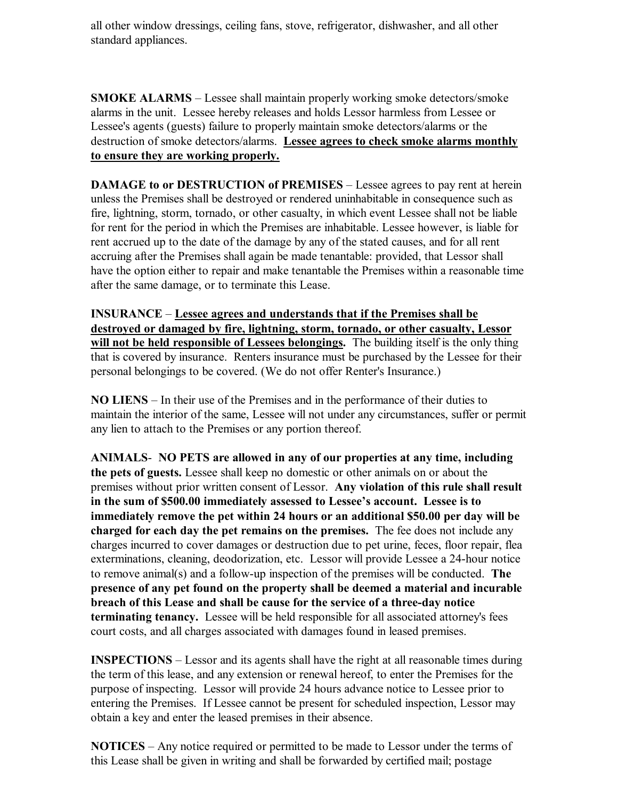all other window dressings, ceiling fans, stove, refrigerator, dishwasher, and all other standard appliances.

**SMOKE ALARMS** – Lessee shall maintain properly working smoke detectors/smoke alarms in the unit. Lessee hereby releases and holds Lessor harmless from Lessee or Lessee's agents (guests) failure to properly maintain smoke detectors/alarms or the destruction of smoke detectors/alarms. **Lessee agrees to check smoke alarms monthly to ensure they are working properly.**

**DAMAGE to or DESTRUCTION of PREMISES** – Lessee agrees to pay rent at herein unless the Premises shall be destroyed or rendered uninhabitable in consequence such as fire, lightning, storm, tornado, or other casualty, in which event Lessee shall not be liable for rent for the period in which the Premises are inhabitable. Lessee however, is liable for rent accrued up to the date of the damage by any of the stated causes, and for all rent accruing after the Premises shall again be made tenantable: provided, that Lessor shall have the option either to repair and make tenantable the Premises within a reasonable time after the same damage, or to terminate this Lease.

**INSURANCE** – **Lessee agrees and understands that if the Premises shall be destroyed or damaged by fire, lightning, storm, tornado, or other casualty, Lessor will not be held responsible of Lessees belongings.** The building itself is the only thing that is covered by insurance. Renters insurance must be purchased by the Lessee for their personal belongings to be covered. (We do not offer Renter's Insurance.)

**NO LIENS** – In their use of the Premises and in the performance of their duties to maintain the interior of the same, Lessee will not under any circumstances, suffer or permit any lien to attach to the Premises or any portion thereof.

**ANIMALS**- **NO PETS are allowed in any of our properties at any time, including the pets of guests.** Lessee shall keep no domestic or other animals on or about the premises without prior written consent of Lessor. **Any violation of this rule shall result in the sum of \$500.00 immediately assessed to Lessee's account. Lessee is to immediately remove the pet within 24 hours or an additional \$50.00 per day will be charged for each day the pet remains on the premises.** The fee does not include any charges incurred to cover damages or destruction due to pet urine, feces, floor repair, flea exterminations, cleaning, deodorization, etc. Lessor will provide Lessee a 24-hour notice to remove animal(s) and a follow-up inspection of the premises will be conducted. **The presence of any pet found on the property shall be deemed a material and incurable breach of this Lease and shall be cause for the service of a three-day notice terminating tenancy.** Lessee will be held responsible for all associated attorney's fees court costs, and all charges associated with damages found in leased premises.

**INSPECTIONS** – Lessor and its agents shall have the right at all reasonable times during the term of this lease, and any extension or renewal hereof, to enter the Premises for the purpose of inspecting. Lessor will provide 24 hours advance notice to Lessee prior to entering the Premises. If Lessee cannot be present for scheduled inspection, Lessor may obtain a key and enter the leased premises in their absence.

**NOTICES** – Any notice required or permitted to be made to Lessor under the terms of this Lease shall be given in writing and shall be forwarded by certified mail; postage